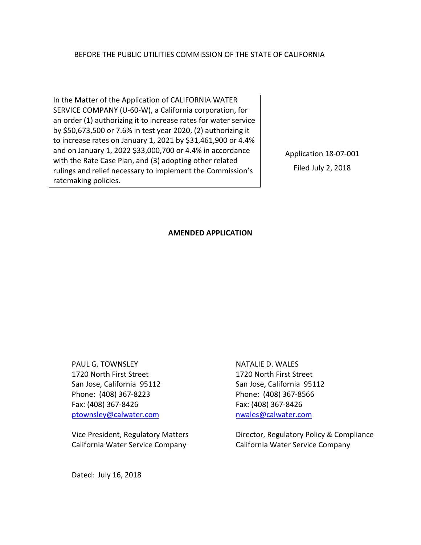#### BEFORE THE PUBLIC UTILITIES COMMISSION OF THE STATE OF CALIFORNIA

In the Matter of the Application of CALIFORNIA WATER SERVICE COMPANY (U-60-W), a California corporation, for an order (1) authorizing it to increase rates for water service by \$50,673,500 or 7.6% in test year 2020, (2) authorizing it to increase rates on January 1, 2021 by \$31,461,900 or 4.4% and on January 1, 2022 \$33,000,700 or 4.4% in accordance with the Rate Case Plan, and (3) adopting other related rulings and relief necessary to implement the Commission's ratemaking policies.

Application 18-07-001 Filed July 2, 2018

#### **AMENDED APPLICATION**

PAUL G. TOWNSLEY 1720 North First Street San Jose, California 95112 Phone: (408) 367-8223 Fax: (408) 367-8426 ptownsley@calwater.com

Vice President, Regulatory Matters California Water Service Company

NATALIE D. WALES 1720 North First Street San Jose, California 95112 Phone: (408) 367-8566 Fax: (408) 367-8426 nwales@calwater.com

Director, Regulatory Policy & Compliance California Water Service Company

Dated: July 16, 2018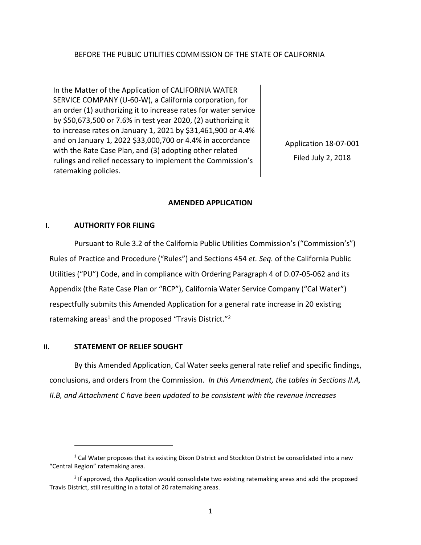## BEFORE THE PUBLIC UTILITIES COMMISSION OF THE STATE OF CALIFORNIA

In the Matter of the Application of CALIFORNIA WATER SERVICE COMPANY (U-60-W), a California corporation, for an order (1) authorizing it to increase rates for water service by \$50,673,500 or 7.6% in test year 2020, (2) authorizing it to increase rates on January 1, 2021 by \$31,461,900 or 4.4% and on January 1, 2022 \$33,000,700 or 4.4% in accordance with the Rate Case Plan, and (3) adopting other related rulings and relief necessary to implement the Commission's ratemaking policies.

Application 18-07-001 Filed July 2, 2018

## **AMENDED APPLICATION**

#### **I. AUTHORITY FOR FILING**

Pursuant to Rule 3.2 of the California Public Utilities Commission's ("Commission's") Rules of Practice and Procedure ("Rules") and Sections 454 *et. Seq.* of the California Public Utilities ("PU") Code, and in compliance with Ordering Paragraph 4 of D.07-05-062 and its Appendix (the Rate Case Plan or "RCP"), California Water Service Company ("Cal Water") respectfully submits this Amended Application for a general rate increase in 20 existing ratemaking areas<sup>1</sup> and the proposed "Travis District."<sup>2</sup>

#### **II. STATEMENT OF RELIEF SOUGHT**

By this Amended Application, Cal Water seeks general rate relief and specific findings, conclusions, and orders from the Commission. *In this Amendment, the tables in Sections II.A, II.B, and Attachment C have been updated to be consistent with the revenue increases* 

 $^1$  Cal Water proposes that its existing Dixon District and Stockton District be consolidated into a new "Central Region" ratemaking area.

<sup>&</sup>lt;sup>2</sup> If approved, this Application would consolidate two existing ratemaking areas and add the proposed Travis District, still resulting in a total of 20 ratemaking areas.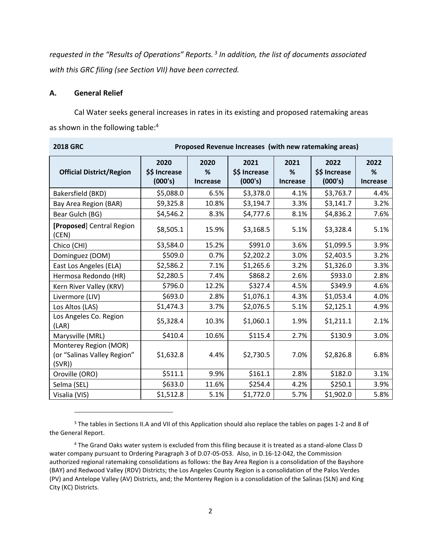*requested in the "Results of Operations" Reports.<sup>3</sup> In addition, the list of documents associated with this GRC filing (see Section VII) have been corrected.*

#### **A. General Relief**

Cal Water seeks general increases in rates in its existing and proposed ratemaking areas as shown in the following table:<sup>4</sup>

| <b>2018 GRC</b>                                                | Proposed Revenue Increases (with new ratemaking areas) |                              |                                  |                              |                                  |                              |
|----------------------------------------------------------------|--------------------------------------------------------|------------------------------|----------------------------------|------------------------------|----------------------------------|------------------------------|
| <b>Official District/Region</b>                                | 2020<br>\$\$ Increase<br>(000's)                       | 2020<br>%<br><b>Increase</b> | 2021<br>\$\$ Increase<br>(000's) | 2021<br>%<br><b>Increase</b> | 2022<br>\$\$ Increase<br>(000's) | 2022<br>%<br><b>Increase</b> |
| Bakersfield (BKD)                                              | \$5,088.0                                              | 6.5%                         | \$3,378.0                        | 4.1%                         | \$3,763.7                        | 4.4%                         |
| Bay Area Region (BAR)                                          | \$9,325.8                                              | 10.8%                        | \$3,194.7                        | 3.3%                         | \$3,141.7                        | 3.2%                         |
| Bear Gulch (BG)                                                | \$4,546.2                                              | 8.3%                         | \$4,777.6                        | 8.1%                         | \$4,836.2                        | 7.6%                         |
| [Proposed] Central Region<br>(CEN)                             | \$8,505.1                                              | 15.9%                        | \$3,168.5                        | 5.1%                         | \$3,328.4                        | 5.1%                         |
| Chico (CHI)                                                    | \$3,584.0                                              | 15.2%                        | \$991.0                          | 3.6%                         | \$1,099.5                        | 3.9%                         |
| Dominguez (DOM)                                                | \$509.0                                                | 0.7%                         | \$2,202.2                        | 3.0%                         | \$2,403.5                        | 3.2%                         |
| East Los Angeles (ELA)                                         | \$2,586.2                                              | 7.1%                         | \$1,265.6                        | 3.2%                         | \$1,326.0                        | 3.3%                         |
| Hermosa Redondo (HR)                                           | \$2,280.5                                              | 7.4%                         | \$868.2                          | 2.6%                         | \$933.0                          | 2.8%                         |
| Kern River Valley (KRV)                                        | \$796.0                                                | 12.2%                        | \$327.4                          | 4.5%                         | \$349.9                          | 4.6%                         |
| Livermore (LIV)                                                | \$693.0                                                | 2.8%                         | \$1,076.1                        | 4.3%                         | \$1,053.4                        | 4.0%                         |
| Los Altos (LAS)                                                | \$1,474.3                                              | 3.7%                         | \$2,076.5                        | 5.1%                         | \$2,125.1                        | 4.9%                         |
| Los Angeles Co. Region<br>(LAR)                                | \$5,328.4                                              | 10.3%                        | \$1,060.1                        | 1.9%                         | \$1,211.1                        | 2.1%                         |
| Marysville (MRL)                                               | \$410.4                                                | 10.6%                        | \$115.4                          | 2.7%                         | \$130.9                          | 3.0%                         |
| Monterey Region (MOR)<br>(or "Salinas Valley Region"<br>(SVR)) | \$1,632.8                                              | 4.4%                         | \$2,730.5                        | 7.0%                         | \$2,826.8                        | 6.8%                         |
| Oroville (ORO)                                                 | \$511.1                                                | 9.9%                         | \$161.1                          | 2.8%                         | \$182.0                          | 3.1%                         |
| Selma (SEL)                                                    | \$633.0                                                | 11.6%                        | \$254.4                          | 4.2%                         | \$250.1                          | 3.9%                         |
| Visalia (VIS)                                                  | \$1,512.8                                              | 5.1%                         | \$1,772.0                        | 5.7%                         | \$1,902.0                        | 5.8%                         |

<sup>&</sup>lt;sup>3</sup> The tables in Sections II.A and VII of this Application should also replace the tables on pages 1-2 and 8 of the General Report.

<sup>4</sup> The Grand Oaks water system is excluded from this filing because it is treated as a stand-alone Class D water company pursuant to Ordering Paragraph 3 of D.07-05-053. Also, in D.16-12-042, the Commission authorized regional ratemaking consolidations as follows: the Bay Area Region is a consolidation of the Bayshore (BAY) and Redwood Valley (RDV) Districts; the Los Angeles County Region is a consolidation of the Palos Verdes (PV) and Antelope Valley (AV) Districts, and; the Monterey Region is a consolidation of the Salinas (SLN) and King City (KC) Districts.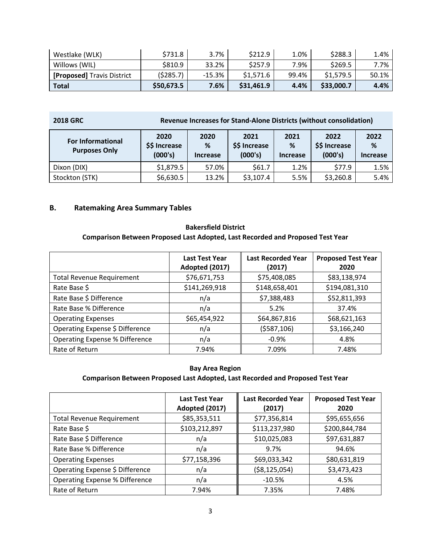| Westlake (WLK)                    | \$731.8    | 3.7%     | \$212.9    | 1.0%  | \$288.3    | 1.4%  |
|-----------------------------------|------------|----------|------------|-------|------------|-------|
| Willows (WIL)                     | S810.9     | 33.2%    | \$257.9    | 7.9%  | \$269.5    | 7.7%  |
| <b>[Proposed]</b> Travis District | (5285.7)   | $-15.3%$ | \$1.571.6  | 99.4% | \$1.579.5  | 50.1% |
| Total                             | \$50,673.5 | 7.6%     | \$31,461.9 | 4.4%  | \$33,000.7 | 4.4%  |

| <b>2018 GRC</b>                                  | Revenue Increases for Stand-Alone Districts (without consolidation) |                              |                              |                                  |                              |      |
|--------------------------------------------------|---------------------------------------------------------------------|------------------------------|------------------------------|----------------------------------|------------------------------|------|
| <b>For Informational</b><br><b>Purposes Only</b> | 2020<br>\$\$ Increase<br>(000's)                                    | 2020<br>%<br><b>Increase</b> | 2021<br>%<br><b>Increase</b> | 2022<br>\$\$ Increase<br>(000's) | 2022<br>%<br><b>Increase</b> |      |
| Dixon (DIX)                                      | \$1,879.5                                                           | 57.0%                        | \$61.7                       | 1.2%                             | \$77.9                       | 1.5% |
| Stockton (STK)                                   | \$6,630.5                                                           | 13.2%                        | \$3,107.4                    | 5.5%                             | \$3,260.8                    | 5.4% |

# **B. Ratemaking Area Summary Tables**

# **Bakersfield District Comparison Between Proposed Last Adopted, Last Recorded and Proposed Test Year**

|                                       | <b>Last Test Year</b><br>Adopted (2017) | <b>Last Recorded Year</b><br>(2017) | <b>Proposed Test Year</b><br>2020 |
|---------------------------------------|-----------------------------------------|-------------------------------------|-----------------------------------|
| <b>Total Revenue Requirement</b>      | \$76,671,753                            | \$75,408,085                        | \$83,138,974                      |
| Rate Base \$                          | \$141,269,918                           | \$148,658,401                       | \$194,081,310                     |
| Rate Base \$ Difference               | n/a                                     | \$7,388,483                         | \$52,811,393                      |
| Rate Base % Difference                | n/a                                     | 5.2%                                | 37.4%                             |
| <b>Operating Expenses</b>             | \$65,454,922                            | \$64,867,816                        | \$68,621,163                      |
| Operating Expense \$ Difference       | n/a                                     | (5587, 106)                         | \$3,166,240                       |
| <b>Operating Expense % Difference</b> | n/a                                     | $-0.9%$                             | 4.8%                              |
| Rate of Return                        | 7.94%                                   | 7.09%                               | 7.48%                             |

# **Bay Area Region**

|                                       | <b>Last Test Year</b><br>Adopted (2017) | <b>Last Recorded Year</b><br>(2017) | <b>Proposed Test Year</b><br>2020 |
|---------------------------------------|-----------------------------------------|-------------------------------------|-----------------------------------|
| <b>Total Revenue Requirement</b>      | \$85,353,511                            | \$77,356,814                        | \$95,655,656                      |
| Rate Base \$                          | \$103,212,897                           | \$113,237,980                       | \$200,844,784                     |
| Rate Base \$ Difference               | n/a                                     | \$10,025,083                        | \$97,631,887                      |
| Rate Base % Difference                | n/a                                     | 9.7%                                | 94.6%                             |
| <b>Operating Expenses</b>             | \$77,158,396                            | \$69,033,342                        | \$80,631,819                      |
| Operating Expense \$ Difference       | n/a                                     | ( \$8,125,054)                      | \$3,473,423                       |
| <b>Operating Expense % Difference</b> | n/a                                     | $-10.5%$                            | 4.5%                              |
| Rate of Return                        | 7.94%                                   | 7.35%                               | 7.48%                             |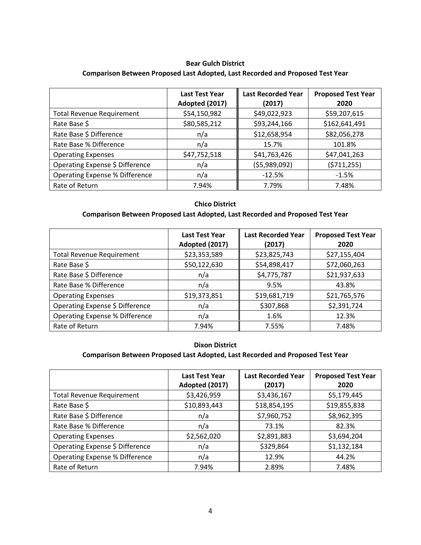## **Bear Gulch District Comparison Between Proposed Last Adopted, Last Recorded and Proposed Test Year**

|                                  | <b>Last Test Year</b><br>Adopted (2017) | <b>Last Recorded Year</b><br>(2017) | <b>Proposed Test Year</b><br>2020 |
|----------------------------------|-----------------------------------------|-------------------------------------|-----------------------------------|
| <b>Total Revenue Requirement</b> | \$54,150,982                            | \$49,022,923                        | \$59,207,615                      |
| Rate Base \$                     | \$80,585,212                            | \$93,244,166                        | \$162,641,491                     |
| Rate Base \$ Difference          | n/a                                     | \$12,658,954                        | \$82,056,278                      |
| Rate Base % Difference           | n/a                                     | 15.7%                               | 101.8%                            |
| <b>Operating Expenses</b>        | \$47,752,518                            | \$41,763,426                        | \$47,041,263                      |
| Operating Expense \$ Difference  | n/a                                     | (55,989,092)                        | (5711, 255)                       |
| Operating Expense % Difference   | n/a                                     | $-12.5%$                            | $-1.5%$                           |
| Rate of Return                   | 7.94%                                   | 7.79%                               | 7.48%                             |

#### **Chico District**

# **Comparison Between Proposed Last Adopted, Last Recorded and Proposed Test Year**

|                                       | <b>Last Test Year</b><br>Adopted (2017) | <b>Last Recorded Year</b><br>(2017) | <b>Proposed Test Year</b><br>2020 |
|---------------------------------------|-----------------------------------------|-------------------------------------|-----------------------------------|
| <b>Total Revenue Requirement</b>      | \$23,353,589                            | \$23,825,743                        | \$27,155,404                      |
| Rate Base \$                          | \$50,122,630                            | \$54,898,417                        | \$72,060,263                      |
| Rate Base \$ Difference               | n/a                                     | \$4,775,787                         | \$21,937,633                      |
| Rate Base % Difference                | n/a                                     | 9.5%                                | 43.8%                             |
| <b>Operating Expenses</b>             | \$19,373,851                            | \$19,681,719                        | \$21,765,576                      |
| Operating Expense \$ Difference       | n/a                                     | \$307,868                           | \$2,391,724                       |
| <b>Operating Expense % Difference</b> | n/a                                     | 1.6%                                | 12.3%                             |
| Rate of Return                        | 7.94%                                   | 7.55%                               | 7.48%                             |

#### **Dixon District**

|                                       | <b>Last Test Year</b><br>Adopted (2017) | <b>Last Recorded Year</b><br>(2017) | <b>Proposed Test Year</b><br>2020 |
|---------------------------------------|-----------------------------------------|-------------------------------------|-----------------------------------|
| <b>Total Revenue Requirement</b>      | \$3,426,959                             | \$3,436,167                         | \$5,179,445                       |
| Rate Base \$                          | \$10,893,443                            | \$18,854,195                        | \$19,855,838                      |
| Rate Base \$ Difference               | n/a                                     | \$7,960,752                         | \$8,962,395                       |
| Rate Base % Difference                | n/a                                     | 73.1%                               | 82.3%                             |
| <b>Operating Expenses</b>             | \$2,562,020                             | \$2,891,883                         | \$3,694,204                       |
| Operating Expense \$ Difference       | n/a                                     | \$329,864                           | \$1,132,184                       |
| <b>Operating Expense % Difference</b> | n/a                                     | 12.9%                               | 44.2%                             |
| Rate of Return                        | 7.94%                                   | 2.89%                               | 7.48%                             |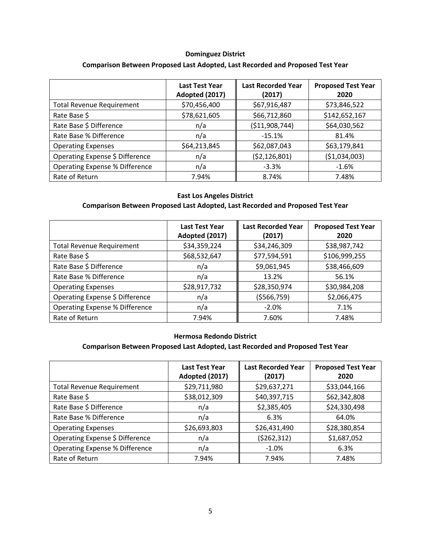# **Dominguez District Comparison Between Proposed Last Adopted, Last Recorded and Proposed Test Year**

|                                       | <b>Last Test Year</b><br>Adopted (2017) | <b>Last Recorded Year</b><br>(2017) | <b>Proposed Test Year</b><br>2020 |
|---------------------------------------|-----------------------------------------|-------------------------------------|-----------------------------------|
| <b>Total Revenue Requirement</b>      | \$70,456,400                            | \$67,916,487                        | \$73,846,522                      |
| Rate Base \$                          | \$78,621,605                            | \$66,712,860                        | \$142,652,167                     |
| Rate Base \$ Difference               | n/a                                     | ( \$11,908,744)                     | \$64,030,562                      |
| Rate Base % Difference                | n/a                                     | $-15.1%$                            | 81.4%                             |
| <b>Operating Expenses</b>             | \$64,213,845                            | \$62,087,043                        | \$63,179,841                      |
| Operating Expense \$ Difference       | n/a                                     | ( \$2,126,801)                      | ( \$1,034,003)                    |
| <b>Operating Expense % Difference</b> | n/a                                     | $-3.3%$                             | $-1.6%$                           |
| Rate of Return                        | 7.94%                                   | 8.74%                               | 7.48%                             |

#### **East Los Angeles District**

#### **Comparison Between Proposed Last Adopted, Last Recorded and Proposed Test Year**

|                                       | <b>Last Test Year</b><br>Adopted (2017) | <b>Last Recorded Year</b><br>(2017) | <b>Proposed Test Year</b><br>2020 |
|---------------------------------------|-----------------------------------------|-------------------------------------|-----------------------------------|
| <b>Total Revenue Requirement</b>      | \$34,359,224                            | \$34,246,309                        | \$38,987,742                      |
| Rate Base \$                          | \$68,532,647                            | \$77,594,591                        | \$106,999,255                     |
| Rate Base \$ Difference               | n/a                                     | \$9,061,945                         | \$38,466,609                      |
| Rate Base % Difference                | n/a                                     | 13.2%                               | 56.1%                             |
| <b>Operating Expenses</b>             | \$28,917,732                            | \$28,350,974                        | \$30,984,208                      |
| Operating Expense \$ Difference       | n/a                                     | (\$566,759)                         | \$2,066,475                       |
| <b>Operating Expense % Difference</b> | n/a                                     | $-2.0%$                             | 7.1%                              |
| Rate of Return                        | 7.94%                                   | 7.60%                               | 7.48%                             |

#### **Hermosa Redondo District**

|                                       | <b>Last Test Year</b><br>Adopted (2017) | <b>Last Recorded Year</b><br>(2017) | <b>Proposed Test Year</b><br>2020 |
|---------------------------------------|-----------------------------------------|-------------------------------------|-----------------------------------|
| <b>Total Revenue Requirement</b>      | \$29,711,980                            | \$29,637,271                        | \$33,044,166                      |
| Rate Base \$                          | \$38,012,309                            | \$40,397,715                        | \$62,342,808                      |
| Rate Base \$ Difference               | n/a                                     | \$2,385,405                         | \$24,330,498                      |
| Rate Base % Difference                | n/a                                     | 6.3%                                | 64.0%                             |
| <b>Operating Expenses</b>             | \$26,693,803                            | \$26,431,490                        | \$28,380,854                      |
| Operating Expense \$ Difference       | n/a                                     | (5262, 312)                         | \$1,687,052                       |
| <b>Operating Expense % Difference</b> | n/a                                     | $-1.0%$                             | 6.3%                              |
| Rate of Return                        | 7.94%                                   | 7.94%                               | 7.48%                             |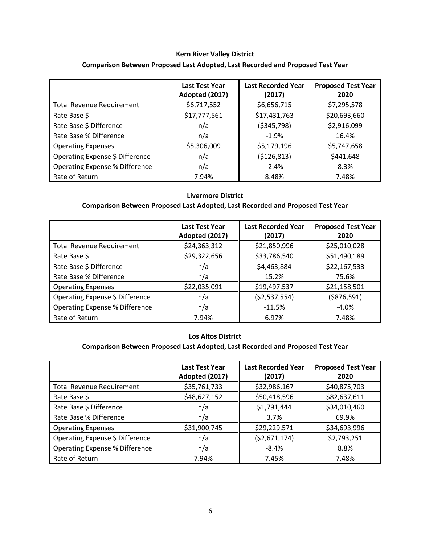# **Kern River Valley District Comparison Between Proposed Last Adopted, Last Recorded and Proposed Test Year**

|                                       | <b>Last Test Year</b><br>Adopted (2017) | <b>Last Recorded Year</b><br>(2017) | <b>Proposed Test Year</b><br>2020 |
|---------------------------------------|-----------------------------------------|-------------------------------------|-----------------------------------|
| <b>Total Revenue Requirement</b>      | \$6,717,552                             | \$6,656,715                         | \$7,295,578                       |
| Rate Base \$                          | \$17,777,561                            | \$17,431,763                        | \$20,693,660                      |
| Rate Base \$ Difference               | n/a                                     | ( \$345, 798)                       | \$2,916,099                       |
| Rate Base % Difference                | n/a                                     | $-1.9%$                             | 16.4%                             |
| <b>Operating Expenses</b>             | \$5,306,009                             | \$5,179,196                         | \$5,747,658                       |
| Operating Expense \$ Difference       | n/a                                     | (\$126,813)                         | \$441,648                         |
| <b>Operating Expense % Difference</b> | n/a                                     | $-2.4%$                             | 8.3%                              |
| Rate of Return                        | 7.94%                                   | 8.48%                               | 7.48%                             |

### **Livermore District**

#### **Comparison Between Proposed Last Adopted, Last Recorded and Proposed Test Year**

|                                       | <b>Last Test Year</b><br>Adopted (2017) | <b>Last Recorded Year</b><br>(2017) | <b>Proposed Test Year</b><br>2020 |
|---------------------------------------|-----------------------------------------|-------------------------------------|-----------------------------------|
| <b>Total Revenue Requirement</b>      | \$24,363,312                            | \$21,850,996                        | \$25,010,028                      |
| Rate Base \$                          | \$29,322,656                            | \$33,786,540                        | \$51,490,189                      |
| Rate Base \$ Difference               | n/a                                     | \$4,463,884                         | \$22,167,533                      |
| Rate Base % Difference                | n/a                                     | 15.2%                               | 75.6%                             |
| <b>Operating Expenses</b>             | \$22,035,091                            | \$19,497,537                        | \$21,158,501                      |
| Operating Expense \$ Difference       | n/a                                     | (\$2,537,554)                       | (\$876,591)                       |
| <b>Operating Expense % Difference</b> | n/a                                     | $-11.5%$                            | $-4.0%$                           |
| Rate of Return                        | 7.94%                                   | 6.97%                               | 7.48%                             |

#### **Los Altos District**

|                                       | <b>Last Test Year</b><br>Adopted (2017) | <b>Last Recorded Year</b><br>(2017) | <b>Proposed Test Year</b><br>2020 |
|---------------------------------------|-----------------------------------------|-------------------------------------|-----------------------------------|
| <b>Total Revenue Requirement</b>      | \$35,761,733                            | \$32,986,167                        | \$40,875,703                      |
| Rate Base \$                          | \$48,627,152                            | \$50,418,596                        | \$82,637,611                      |
| Rate Base \$ Difference               | n/a                                     | \$1,791,444                         | \$34,010,460                      |
| Rate Base % Difference                | n/a                                     | 3.7%                                | 69.9%                             |
| <b>Operating Expenses</b>             | \$31,900,745                            | \$29,229,571                        | \$34,693,996                      |
| Operating Expense \$ Difference       | n/a                                     | ( \$2,671,174)                      | \$2,793,251                       |
| <b>Operating Expense % Difference</b> | n/a                                     | $-8.4%$                             | 8.8%                              |
| Rate of Return                        | 7.94%                                   | 7.45%                               | 7.48%                             |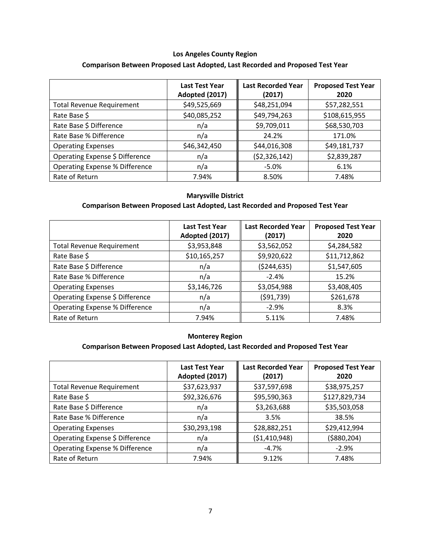# **Los Angeles County Region Comparison Between Proposed Last Adopted, Last Recorded and Proposed Test Year**

|                                       | <b>Last Test Year</b><br>Adopted (2017) | <b>Last Recorded Year</b><br>(2017) | <b>Proposed Test Year</b><br>2020 |
|---------------------------------------|-----------------------------------------|-------------------------------------|-----------------------------------|
| <b>Total Revenue Requirement</b>      | \$49,525,669                            | \$48,251,094                        | \$57,282,551                      |
| Rate Base \$                          | \$40,085,252                            | \$49,794,263                        | \$108,615,955                     |
| Rate Base \$ Difference               | n/a                                     | \$9,709,011                         | \$68,530,703                      |
| Rate Base % Difference                | n/a                                     | 24.2%                               | 171.0%                            |
| <b>Operating Expenses</b>             | \$46,342,450                            | \$44,016,308                        | \$49,181,737                      |
| Operating Expense \$ Difference       | n/a                                     | (52, 326, 142)                      | \$2,839,287                       |
| <b>Operating Expense % Difference</b> | n/a                                     | $-5.0%$                             | 6.1%                              |
| Rate of Return                        | 7.94%                                   | 8.50%                               | 7.48%                             |

#### **Marysville District**

# **Comparison Between Proposed Last Adopted, Last Recorded and Proposed Test Year**

|                                       | <b>Last Test Year</b><br>Adopted (2017) | <b>Last Recorded Year</b><br>(2017) | <b>Proposed Test Year</b><br>2020 |
|---------------------------------------|-----------------------------------------|-------------------------------------|-----------------------------------|
| <b>Total Revenue Requirement</b>      | \$3,953,848                             | \$3,562,052                         | \$4,284,582                       |
| Rate Base \$                          | \$10,165,257                            | \$9,920,622                         | \$11,712,862                      |
| Rate Base \$ Difference               | n/a                                     | ( \$244, 635)                       | \$1,547,605                       |
| Rate Base % Difference                | n/a                                     | $-2.4%$                             | 15.2%                             |
| <b>Operating Expenses</b>             | \$3,146,726                             | \$3,054,988                         | \$3,408,405                       |
| Operating Expense \$ Difference       | n/a                                     | (591, 739)                          | \$261,678                         |
| <b>Operating Expense % Difference</b> | n/a                                     | $-2.9%$                             | 8.3%                              |
| Rate of Return                        | 7.94%                                   | 5.11%                               | 7.48%                             |

#### **Monterey Region**

|                                       | <b>Last Test Year</b><br>Adopted (2017) | <b>Last Recorded Year</b><br>(2017) | <b>Proposed Test Year</b><br>2020 |
|---------------------------------------|-----------------------------------------|-------------------------------------|-----------------------------------|
| <b>Total Revenue Requirement</b>      | \$37,623,937                            | \$37,597,698                        | \$38,975,257                      |
| Rate Base \$                          | \$92,326,676                            | \$95,590,363                        | \$127,829,734                     |
| Rate Base \$ Difference               | n/a                                     | \$3,263,688                         | \$35,503,058                      |
| Rate Base % Difference                | n/a                                     | 3.5%                                | 38.5%                             |
| <b>Operating Expenses</b>             | \$30,293,198                            | \$28,882,251                        | \$29,412,994                      |
| Operating Expense \$ Difference       | n/a                                     | ( \$1,410,948)                      | ( \$880, 204)                     |
| <b>Operating Expense % Difference</b> | n/a                                     | $-4.7%$                             | $-2.9%$                           |
| Rate of Return                        | 7.94%                                   | 9.12%                               | 7.48%                             |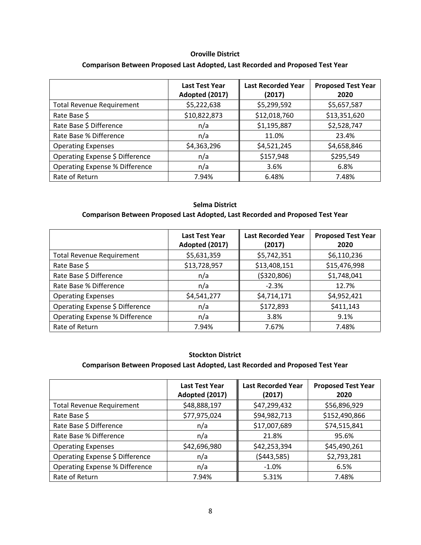# **Oroville District Comparison Between Proposed Last Adopted, Last Recorded and Proposed Test Year**

|                                       | <b>Last Test Year</b><br>Adopted (2017) | <b>Last Recorded Year</b><br>(2017) | <b>Proposed Test Year</b><br>2020 |
|---------------------------------------|-----------------------------------------|-------------------------------------|-----------------------------------|
| <b>Total Revenue Requirement</b>      | \$5,222,638                             | \$5,299,592                         | \$5,657,587                       |
| Rate Base \$                          | \$10,822,873                            | \$12,018,760                        | \$13,351,620                      |
| Rate Base \$ Difference               | n/a                                     | \$1,195,887                         | \$2,528,747                       |
| Rate Base % Difference                | n/a                                     | 11.0%                               | 23.4%                             |
| <b>Operating Expenses</b>             | \$4,363,296                             | \$4,521,245                         | \$4,658,846                       |
| Operating Expense \$ Difference       | n/a                                     | \$157,948                           | \$295,549                         |
| <b>Operating Expense % Difference</b> | n/a                                     | 3.6%                                | 6.8%                              |
| Rate of Return                        | 7.94%                                   | 6.48%                               | 7.48%                             |

## **Selma District**

## **Comparison Between Proposed Last Adopted, Last Recorded and Proposed Test Year**

|                                       | <b>Last Test Year</b><br>Adopted (2017) | <b>Last Recorded Year</b><br>(2017) | <b>Proposed Test Year</b><br>2020 |
|---------------------------------------|-----------------------------------------|-------------------------------------|-----------------------------------|
| <b>Total Revenue Requirement</b>      | \$5,631,359                             | \$5,742,351                         | \$6,110,236                       |
| Rate Base \$                          | \$13,728,957                            | \$13,408,151                        | \$15,476,998                      |
| Rate Base \$ Difference               | n/a                                     | ( \$320, 806)                       | \$1,748,041                       |
| Rate Base % Difference                | n/a                                     | $-2.3%$                             | 12.7%                             |
| <b>Operating Expenses</b>             | \$4,541,277                             | \$4,714,171                         | \$4,952,421                       |
| Operating Expense \$ Difference       | n/a                                     | \$172,893                           | \$411,143                         |
| <b>Operating Expense % Difference</b> | n/a                                     | 3.8%                                | 9.1%                              |
| Rate of Return                        | 7.94%                                   | 7.67%                               | 7.48%                             |

#### **Stockton District**

|                                       | <b>Last Test Year</b><br>Adopted (2017) | <b>Last Recorded Year</b><br>(2017) | <b>Proposed Test Year</b><br>2020 |
|---------------------------------------|-----------------------------------------|-------------------------------------|-----------------------------------|
| <b>Total Revenue Requirement</b>      | \$48,888,197                            | \$47,299,432                        | \$56,896,929                      |
| Rate Base \$                          | \$77,975,024                            | \$94,982,713                        | \$152,490,866                     |
| Rate Base \$ Difference               | n/a                                     | \$17,007,689                        | \$74,515,841                      |
| Rate Base % Difference                | n/a                                     | 21.8%                               | 95.6%                             |
| <b>Operating Expenses</b>             | \$42,696,980                            | \$42,253,394                        | \$45,490,261                      |
| Operating Expense \$ Difference       | n/a                                     | (5443,585)                          | \$2,793,281                       |
| <b>Operating Expense % Difference</b> | n/a                                     | $-1.0%$                             | 6.5%                              |
| Rate of Return                        | 7.94%                                   | 5.31%                               | 7.48%                             |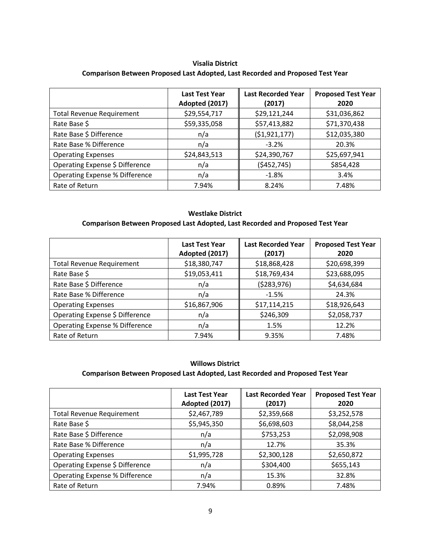## **Visalia District Comparison Between Proposed Last Adopted, Last Recorded and Proposed Test Year**

|                                  | <b>Last Test Year</b><br>Adopted (2017) | <b>Last Recorded Year</b><br>(2017) | <b>Proposed Test Year</b><br>2020 |
|----------------------------------|-----------------------------------------|-------------------------------------|-----------------------------------|
| <b>Total Revenue Requirement</b> | \$29,554,717                            | \$29,121,244                        | \$31,036,862                      |
| Rate Base \$                     | \$59,335,058                            | \$57,413,882                        | \$71,370,438                      |
| Rate Base \$ Difference          | n/a                                     | ( \$1,921,177)                      | \$12,035,380                      |
| Rate Base % Difference           | n/a                                     | $-3.2%$                             | 20.3%                             |
| <b>Operating Expenses</b>        | \$24,843,513                            | \$24,390,767                        | \$25,697,941                      |
| Operating Expense \$ Difference  | n/a                                     | (5452, 745)                         | \$854,428                         |
| Operating Expense % Difference   | n/a                                     | $-1.8%$                             | 3.4%                              |
| Rate of Return                   | 7.94%                                   | 8.24%                               | 7.48%                             |

#### **Westlake District**

### **Comparison Between Proposed Last Adopted, Last Recorded and Proposed Test Year**

|                                       | <b>Last Test Year</b><br>Adopted (2017) | <b>Last Recorded Year</b><br>(2017) | <b>Proposed Test Year</b><br>2020 |
|---------------------------------------|-----------------------------------------|-------------------------------------|-----------------------------------|
| <b>Total Revenue Requirement</b>      | \$18,380,747                            | \$18,868,428                        | \$20,698,399                      |
| Rate Base \$                          | \$19,053,411                            | \$18,769,434                        | \$23,688,095                      |
| Rate Base \$ Difference               | n/a                                     | (5283, 976)                         | \$4,634,684                       |
| Rate Base % Difference                | n/a                                     | $-1.5%$                             | 24.3%                             |
| <b>Operating Expenses</b>             | \$16,867,906                            | \$17,114,215                        | \$18,926,643                      |
| Operating Expense \$ Difference       | n/a                                     | \$246,309                           | \$2,058,737                       |
| <b>Operating Expense % Difference</b> | n/a                                     | 1.5%                                | 12.2%                             |
| Rate of Return                        | 7.94%                                   | 9.35%                               | 7.48%                             |

#### **Willows District**

|                                       | <b>Last Test Year</b><br>Adopted (2017) | <b>Last Recorded Year</b><br>(2017) | <b>Proposed Test Year</b><br>2020 |
|---------------------------------------|-----------------------------------------|-------------------------------------|-----------------------------------|
| <b>Total Revenue Requirement</b>      | \$2,467,789                             | \$2,359,668                         | \$3,252,578                       |
| Rate Base \$                          | \$5,945,350                             | \$6,698,603                         | \$8,044,258                       |
| Rate Base \$ Difference               | n/a                                     | \$753,253                           | \$2,098,908                       |
| Rate Base % Difference                | n/a                                     | 12.7%                               | 35.3%                             |
| <b>Operating Expenses</b>             | \$1,995,728                             | \$2,300,128                         | \$2,650,872                       |
| Operating Expense \$ Difference       | n/a                                     | \$304,400                           | \$655,143                         |
| <b>Operating Expense % Difference</b> | n/a                                     | 15.3%                               | 32.8%                             |
| Rate of Return                        | 7.94%                                   | 0.89%                               | 7.48%                             |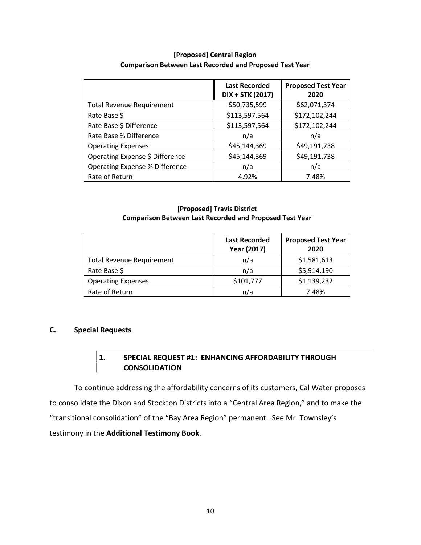|                                       | <b>Last Recorded</b><br>DIX + STK (2017) | <b>Proposed Test Year</b><br>2020 |
|---------------------------------------|------------------------------------------|-----------------------------------|
| <b>Total Revenue Requirement</b>      | \$50,735,599                             | \$62,071,374                      |
| Rate Base \$                          | \$113,597,564                            | \$172,102,244                     |
| Rate Base \$ Difference               | \$113,597,564                            | \$172,102,244                     |
| Rate Base % Difference                | n/a                                      | n/a                               |
| <b>Operating Expenses</b>             | \$45,144,369                             | \$49,191,738                      |
| Operating Expense \$ Difference       | \$45,144,369                             | \$49,191,738                      |
| <b>Operating Expense % Difference</b> | n/a                                      | n/a                               |
| Rate of Return                        | 4.92%                                    | 7.48%                             |

## **[Proposed] Central Region Comparison Between Last Recorded and Proposed Test Year**

## **[Proposed] Travis District Comparison Between Last Recorded and Proposed Test Year**

|                                  | <b>Last Recorded</b><br><b>Year (2017)</b> | <b>Proposed Test Year</b><br>2020 |
|----------------------------------|--------------------------------------------|-----------------------------------|
| <b>Total Revenue Requirement</b> | n/a                                        | \$1,581,613                       |
| Rate Base \$                     | n/a                                        | \$5,914,190                       |
| <b>Operating Expenses</b>        | \$101,777                                  | \$1,139,232                       |
| Rate of Return                   | n/a                                        | 7.48%                             |

# **C. Special Requests**

# **1. SPECIAL REQUEST #1: ENHANCING AFFORDABILITY THROUGH CONSOLIDATION**

To continue addressing the affordability concerns of its customers, Cal Water proposes to consolidate the Dixon and Stockton Districts into a "Central Area Region," and to make the "transitional consolidation" of the "Bay Area Region" permanent. See Mr. Townsley's testimony in the **Additional Testimony Book**.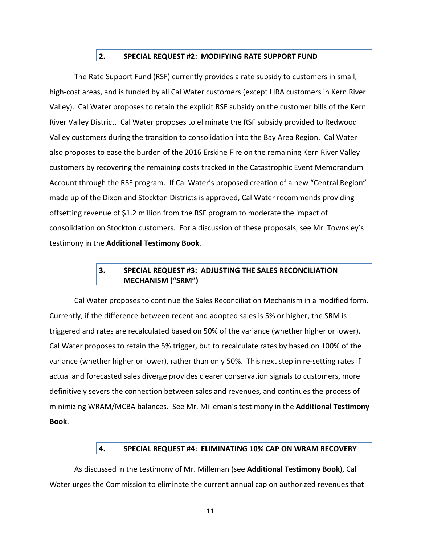# **2. SPECIAL REQUEST #2: MODIFYING RATE SUPPORT FUND**

The Rate Support Fund (RSF) currently provides a rate subsidy to customers in small, high-cost areas, and is funded by all Cal Water customers (except LIRA customers in Kern River Valley). Cal Water proposes to retain the explicit RSF subsidy on the customer bills of the Kern River Valley District. Cal Water proposes to eliminate the RSF subsidy provided to Redwood Valley customers during the transition to consolidation into the Bay Area Region. Cal Water also proposes to ease the burden of the 2016 Erskine Fire on the remaining Kern River Valley customers by recovering the remaining costs tracked in the Catastrophic Event Memorandum Account through the RSF program. If Cal Water's proposed creation of a new "Central Region" made up of the Dixon and Stockton Districts is approved, Cal Water recommends providing offsetting revenue of \$1.2 million from the RSF program to moderate the impact of consolidation on Stockton customers. For a discussion of these proposals, see Mr. Townsley's testimony in the **Additional Testimony Book**.

# **3. SPECIAL REQUEST #3: ADJUSTING THE SALES RECONCILIATION MECHANISM ("SRM")**

Cal Water proposes to continue the Sales Reconciliation Mechanism in a modified form. Currently, if the difference between recent and adopted sales is 5% or higher, the SRM is triggered and rates are recalculated based on 50% of the variance (whether higher or lower). Cal Water proposes to retain the 5% trigger, but to recalculate rates by based on 100% of the variance (whether higher or lower), rather than only 50%. This next step in re-setting rates if actual and forecasted sales diverge provides clearer conservation signals to customers, more definitively severs the connection between sales and revenues, and continues the process of minimizing WRAM/MCBA balances. See Mr. Milleman's testimony in the **Additional Testimony Book**.

## **4. SPECIAL REQUEST #4: ELIMINATING 10% CAP ON WRAM RECOVERY**

As discussed in the testimony of Mr. Milleman (see **Additional Testimony Book**), Cal Water urges the Commission to eliminate the current annual cap on authorized revenues that

11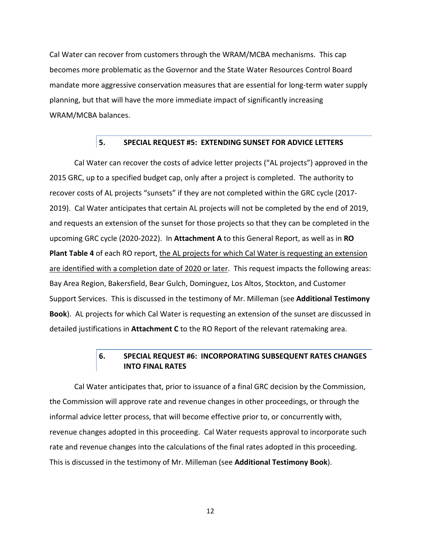Cal Water can recover from customers through the WRAM/MCBA mechanisms. This cap becomes more problematic as the Governor and the State Water Resources Control Board mandate more aggressive conservation measures that are essential for long-term water supply planning, but that will have the more immediate impact of significantly increasing WRAM/MCBA balances.

#### **5. SPECIAL REQUEST #5: EXTENDING SUNSET FOR ADVICE LETTERS**

Cal Water can recover the costs of advice letter projects ("AL projects") approved in the 2015 GRC, up to a specified budget cap, only after a project is completed. The authority to recover costs of AL projects "sunsets" if they are not completed within the GRC cycle (2017- 2019). Cal Water anticipates that certain AL projects will not be completed by the end of 2019, and requests an extension of the sunset for those projects so that they can be completed in the upcoming GRC cycle (2020-2022). In **Attachment A** to this General Report, as well as in **RO** Plant Table 4 of each RO report, the AL projects for which Cal Water is requesting an extension are identified with a completion date of 2020 or later. This request impacts the following areas: Bay Area Region, Bakersfield, Bear Gulch, Dominguez, Los Altos, Stockton, and Customer Support Services. This is discussed in the testimony of Mr. Milleman (see **Additional Testimony Book**). AL projects for which Cal Water is requesting an extension of the sunset are discussed in detailed justifications in **Attachment C** to the RO Report of the relevant ratemaking area.

# **6. SPECIAL REQUEST #6: INCORPORATING SUBSEQUENT RATES CHANGES INTO FINAL RATES**

Cal Water anticipates that, prior to issuance of a final GRC decision by the Commission, the Commission will approve rate and revenue changes in other proceedings, or through the informal advice letter process, that will become effective prior to, or concurrently with, revenue changes adopted in this proceeding. Cal Water requests approval to incorporate such rate and revenue changes into the calculations of the final rates adopted in this proceeding. This is discussed in the testimony of Mr. Milleman (see **Additional Testimony Book**).

12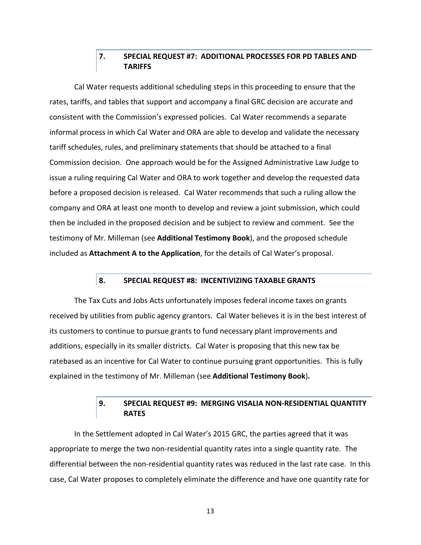# **7. SPECIAL REQUEST #7: ADDITIONAL PROCESSES FOR PD TABLES AND TARIFFS**

Cal Water requests additional scheduling steps in this proceeding to ensure that the rates, tariffs, and tables that support and accompany a final GRC decision are accurate and consistent with the Commission's expressed policies. Cal Water recommends a separate informal process in which Cal Water and ORA are able to develop and validate the necessary tariff schedules, rules, and preliminary statements that should be attached to a final Commission decision. One approach would be for the Assigned Administrative Law Judge to issue a ruling requiring Cal Water and ORA to work together and develop the requested data before a proposed decision is released. Cal Water recommends that such a ruling allow the company and ORA at least one month to develop and review a joint submission, which could then be included in the proposed decision and be subject to review and comment. See the testimony of Mr. Milleman (see **Additional Testimony Book**), and the proposed schedule included as **Attachment A to the Application**, for the details of Cal Water's proposal.

## **8. SPECIAL REQUEST #8: INCENTIVIZING TAXABLE GRANTS**

The Tax Cuts and Jobs Acts unfortunately imposes federal income taxes on grants received by utilities from public agency grantors. Cal Water believes it is in the best interest of its customers to continue to pursue grants to fund necessary plant improvements and additions, especially in its smaller districts. Cal Water is proposing that this new tax be ratebased as an incentive for Cal Water to continue pursuing grant opportunities. This is fully explained in the testimony of Mr. Milleman (see **Additional Testimony Book**)**.**

# **9. SPECIAL REQUEST #9: MERGING VISALIA NON-RESIDENTIAL QUANTITY RATES**

In the Settlement adopted in Cal Water's 2015 GRC, the parties agreed that it was appropriate to merge the two non-residential quantity rates into a single quantity rate. The differential between the non-residential quantity rates was reduced in the last rate case. In this case, Cal Water proposes to completely eliminate the difference and have one quantity rate for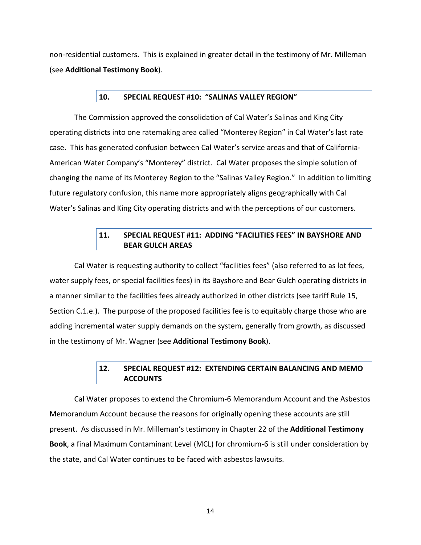non-residential customers. This is explained in greater detail in the testimony of Mr. Milleman (see **Additional Testimony Book**).

## **10. SPECIAL REQUEST #10: "SALINAS VALLEY REGION"**

The Commission approved the consolidation of Cal Water's Salinas and King City operating districts into one ratemaking area called "Monterey Region" in Cal Water's last rate case. This has generated confusion between Cal Water's service areas and that of California-American Water Company's "Monterey" district. Cal Water proposes the simple solution of changing the name of its Monterey Region to the "Salinas Valley Region." In addition to limiting future regulatory confusion, this name more appropriately aligns geographically with Cal Water's Salinas and King City operating districts and with the perceptions of our customers.

# **11. SPECIAL REQUEST #11: ADDING "FACILITIES FEES" IN BAYSHORE AND BEAR GULCH AREAS**

Cal Water is requesting authority to collect "facilities fees" (also referred to as lot fees, water supply fees, or special facilities fees) in its Bayshore and Bear Gulch operating districts in a manner similar to the facilities fees already authorized in other districts (see tariff Rule 15, Section C.1.e.). The purpose of the proposed facilities fee is to equitably charge those who are adding incremental water supply demands on the system, generally from growth, as discussed in the testimony of Mr. Wagner (see **Additional Testimony Book**).

# **12. SPECIAL REQUEST #12: EXTENDING CERTAIN BALANCING AND MEMO ACCOUNTS**

Cal Water proposes to extend the Chromium-6 Memorandum Account and the Asbestos Memorandum Account because the reasons for originally opening these accounts are still present. As discussed in Mr. Milleman's testimony in Chapter 22 of the **Additional Testimony Book**, a final Maximum Contaminant Level (MCL) for chromium-6 is still under consideration by the state, and Cal Water continues to be faced with asbestos lawsuits.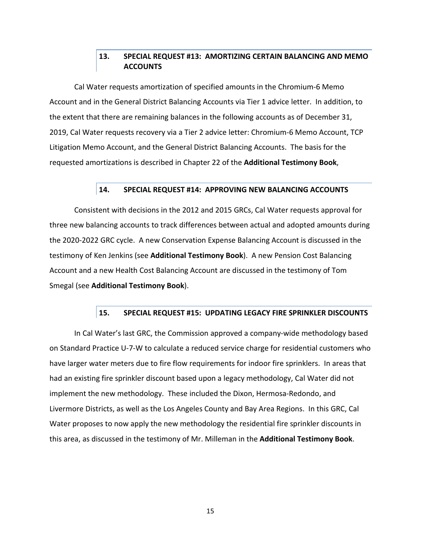# **13. SPECIAL REQUEST #13: AMORTIZING CERTAIN BALANCING AND MEMO ACCOUNTS**

Cal Water requests amortization of specified amounts in the Chromium-6 Memo Account and in the General District Balancing Accounts via Tier 1 advice letter. In addition, to the extent that there are remaining balances in the following accounts as of December 31, 2019, Cal Water requests recovery via a Tier 2 advice letter: Chromium-6 Memo Account, TCP Litigation Memo Account, and the General District Balancing Accounts. The basis for the requested amortizations is described in Chapter 22 of the **Additional Testimony Book**,

## **14. SPECIAL REQUEST #14: APPROVING NEW BALANCING ACCOUNTS**

Consistent with decisions in the 2012 and 2015 GRCs, Cal Water requests approval for three new balancing accounts to track differences between actual and adopted amounts during the 2020-2022 GRC cycle. A new Conservation Expense Balancing Account is discussed in the testimony of Ken Jenkins (see **Additional Testimony Book**). A new Pension Cost Balancing Account and a new Health Cost Balancing Account are discussed in the testimony of Tom Smegal (see **Additional Testimony Book**).

#### **15. SPECIAL REQUEST #15: UPDATING LEGACY FIRE SPRINKLER DISCOUNTS**

In Cal Water's last GRC, the Commission approved a company-wide methodology based on Standard Practice U-7-W to calculate a reduced service charge for residential customers who have larger water meters due to fire flow requirements for indoor fire sprinklers. In areas that had an existing fire sprinkler discount based upon a legacy methodology, Cal Water did not implement the new methodology. These included the Dixon, Hermosa-Redondo, and Livermore Districts, as well as the Los Angeles County and Bay Area Regions. In this GRC, Cal Water proposes to now apply the new methodology the residential fire sprinkler discounts in this area, as discussed in the testimony of Mr. Milleman in the **Additional Testimony Book**.

15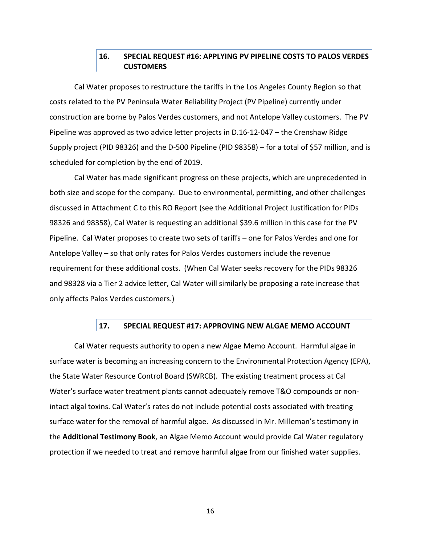# **16. SPECIAL REQUEST #16: APPLYING PV PIPELINE COSTS TO PALOS VERDES CUSTOMERS**

Cal Water proposes to restructure the tariffs in the Los Angeles County Region so that costs related to the PV Peninsula Water Reliability Project (PV Pipeline) currently under construction are borne by Palos Verdes customers, and not Antelope Valley customers. The PV Pipeline was approved as two advice letter projects in D.16-12-047 – the Crenshaw Ridge Supply project (PID 98326) and the D-500 Pipeline (PID 98358) – for a total of \$57 million, and is scheduled for completion by the end of 2019.

Cal Water has made significant progress on these projects, which are unprecedented in both size and scope for the company. Due to environmental, permitting, and other challenges discussed in Attachment C to this RO Report (see the Additional Project Justification for PIDs 98326 and 98358), Cal Water is requesting an additional \$39.6 million in this case for the PV Pipeline. Cal Water proposes to create two sets of tariffs – one for Palos Verdes and one for Antelope Valley – so that only rates for Palos Verdes customers include the revenue requirement for these additional costs. (When Cal Water seeks recovery for the PIDs 98326 and 98328 via a Tier 2 advice letter, Cal Water will similarly be proposing a rate increase that only affects Palos Verdes customers.)

#### **17. SPECIAL REQUEST #17: APPROVING NEW ALGAE MEMO ACCOUNT**

Cal Water requests authority to open a new Algae Memo Account. Harmful algae in surface water is becoming an increasing concern to the Environmental Protection Agency (EPA), the State Water Resource Control Board (SWRCB). The existing treatment process at Cal Water's surface water treatment plants cannot adequately remove T&O compounds or nonintact algal toxins. Cal Water's rates do not include potential costs associated with treating surface water for the removal of harmful algae. As discussed in Mr. Milleman's testimony in the **Additional Testimony Book**, an Algae Memo Account would provide Cal Water regulatory protection if we needed to treat and remove harmful algae from our finished water supplies.

16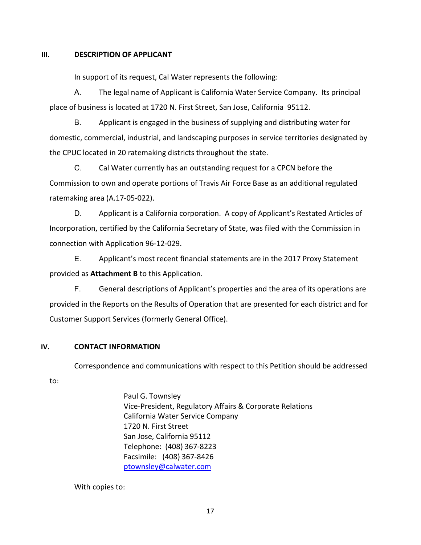### **III. DESCRIPTION OF APPLICANT**

In support of its request, Cal Water represents the following:

A. The legal name of Applicant is California Water Service Company. Its principal place of business is located at 1720 N. First Street, San Jose, California 95112.

B. Applicant is engaged in the business of supplying and distributing water for domestic, commercial, industrial, and landscaping purposes in service territories designated by the CPUC located in 20 ratemaking districts throughout the state.

C. Cal Water currently has an outstanding request for a CPCN before the Commission to own and operate portions of Travis Air Force Base as an additional regulated ratemaking area (A.17-05-022).

D. Applicant is a California corporation. A copy of Applicant's Restated Articles of Incorporation, certified by the California Secretary of State, was filed with the Commission in connection with Application 96-12-029.

E. Applicant's most recent financial statements are in the 2017 Proxy Statement provided as **Attachment B** to this Application.

F. General descriptions of Applicant's properties and the area of its operations are provided in the Reports on the Results of Operation that are presented for each district and for Customer Support Services (formerly General Office).

## **IV. CONTACT INFORMATION**

Correspondence and communications with respect to this Petition should be addressed

to:

Paul G. Townsley Vice-President, Regulatory Affairs & Corporate Relations California Water Service Company 1720 N. First Street San Jose, California 95112 Telephone: (408) 367-8223 Facsimile: (408) 367-8426 ptownsley@calwater.com

With copies to: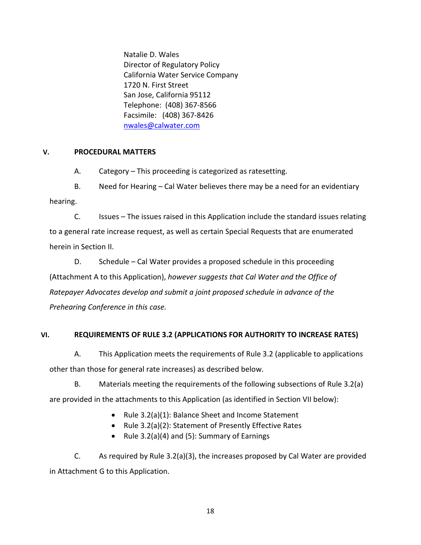Natalie D. Wales Director of Regulatory Policy California Water Service Company 1720 N. First Street San Jose, California 95112 Telephone: (408) 367-8566 Facsimile: (408) 367-8426 nwales@calwater.com

# **V. PROCEDURAL MATTERS**

A. Category – This proceeding is categorized as ratesetting.

B. Need for Hearing – Cal Water believes there may be a need for an evidentiary hearing.

C. Issues – The issues raised in this Application include the standard issues relating to a general rate increase request, as well as certain Special Requests that are enumerated herein in Section II.

D. Schedule – Cal Water provides a proposed schedule in this proceeding (Attachment A to this Application), *however suggests that Cal Water and the Office of Ratepayer Advocates develop and submit a joint proposed schedule in advance of the Prehearing Conference in this case.*

# **VI. REQUIREMENTS OF RULE 3.2 (APPLICATIONS FOR AUTHORITY TO INCREASE RATES)**

A. This Application meets the requirements of Rule 3.2 (applicable to applications other than those for general rate increases) as described below.

B. Materials meeting the requirements of the following subsections of Rule 3.2(a) are provided in the attachments to this Application (as identified in Section VII below):

- Rule 3.2(a)(1): Balance Sheet and Income Statement
- Rule 3.2(a)(2): Statement of Presently Effective Rates
- Rule 3.2(a)(4) and (5): Summary of Earnings

C. As required by Rule 3.2(a)(3), the increases proposed by Cal Water are provided in Attachment G to this Application.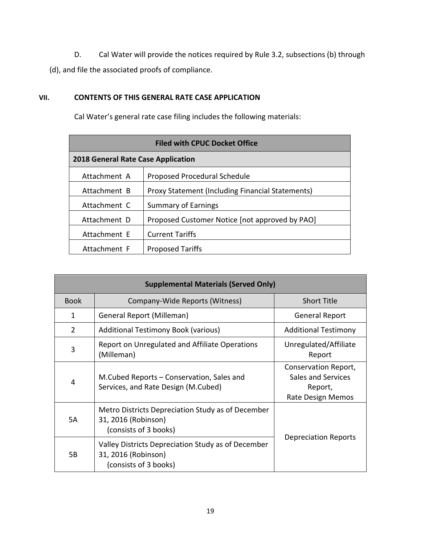D. Cal Water will provide the notices required by Rule 3.2, subsections (b) through (d), and file the associated proofs of compliance.

# **VII. CONTENTS OF THIS GENERAL RATE CASE APPLICATION**

Cal Water's general rate case filing includes the following materials:

| <b>Filed with CPUC Docket Office</b>      |                                                  |  |  |  |
|-------------------------------------------|--------------------------------------------------|--|--|--|
| <b>2018 General Rate Case Application</b> |                                                  |  |  |  |
| Attachment A                              | Proposed Procedural Schedule                     |  |  |  |
| Attachment B                              | Proxy Statement (Including Financial Statements) |  |  |  |
| Attachment C                              | <b>Summary of Earnings</b>                       |  |  |  |
| Attachment D                              | Proposed Customer Notice [not approved by PAO]   |  |  |  |
| Attachment E                              | <b>Current Tariffs</b>                           |  |  |  |
| Attachment F                              | <b>Proposed Tariffs</b>                          |  |  |  |

| <b>Supplemental Materials (Served Only)</b> |                                                                                                    |                                                                            |  |  |
|---------------------------------------------|----------------------------------------------------------------------------------------------------|----------------------------------------------------------------------------|--|--|
| <b>Book</b>                                 | Company-Wide Reports (Witness)                                                                     | <b>Short Title</b>                                                         |  |  |
| 1                                           | General Report (Milleman)                                                                          | <b>General Report</b>                                                      |  |  |
| 2                                           | Additional Testimony Book (various)                                                                | <b>Additional Testimony</b>                                                |  |  |
| 3                                           | Report on Unregulated and Affiliate Operations<br>(Milleman)                                       | Unregulated/Affiliate<br>Report                                            |  |  |
| 4                                           | M.Cubed Reports – Conservation, Sales and<br>Services, and Rate Design (M.Cubed)                   | Conservation Report,<br>Sales and Services<br>Report,<br>Rate Design Memos |  |  |
| 5A                                          | Metro Districts Depreciation Study as of December<br>31, 2016 (Robinson)<br>(consists of 3 books)  | Depreciation Reports                                                       |  |  |
| 5Β                                          | Valley Districts Depreciation Study as of December<br>31, 2016 (Robinson)<br>(consists of 3 books) |                                                                            |  |  |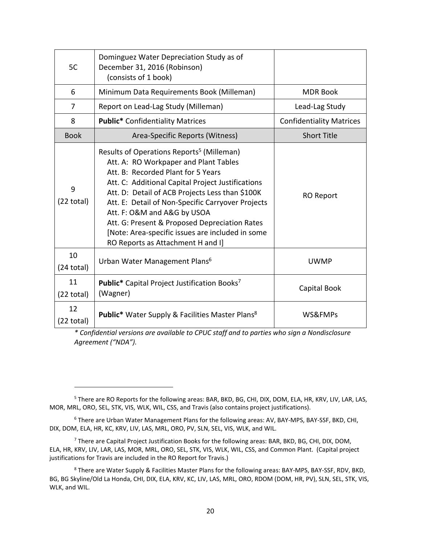| 5C                         | Dominguez Water Depreciation Study as of<br>December 31, 2016 (Robinson)<br>(consists of 1 book)                                                                                                                                                                                                                                                                                                                                                                           |                                 |
|----------------------------|----------------------------------------------------------------------------------------------------------------------------------------------------------------------------------------------------------------------------------------------------------------------------------------------------------------------------------------------------------------------------------------------------------------------------------------------------------------------------|---------------------------------|
| 6                          | Minimum Data Requirements Book (Milleman)                                                                                                                                                                                                                                                                                                                                                                                                                                  | <b>MDR Book</b>                 |
| 7                          | Report on Lead-Lag Study (Milleman)                                                                                                                                                                                                                                                                                                                                                                                                                                        | Lead-Lag Study                  |
| 8                          | <b>Public*</b> Confidentiality Matrices                                                                                                                                                                                                                                                                                                                                                                                                                                    | <b>Confidentiality Matrices</b> |
| <b>Book</b>                | Area-Specific Reports (Witness)                                                                                                                                                                                                                                                                                                                                                                                                                                            | <b>Short Title</b>              |
| 9<br>$(22 \text{ total})$  | Results of Operations Reports <sup>5</sup> (Milleman)<br>Att. A: RO Workpaper and Plant Tables<br>Att. B: Recorded Plant for 5 Years<br>Att. C: Additional Capital Project Justifications<br>Att. D: Detail of ACB Projects Less than \$100K<br>Att. E: Detail of Non-Specific Carryover Projects<br>Att. F: O&M and A&G by USOA<br>Att. G: Present & Proposed Depreciation Rates<br>[Note: Area-specific issues are included in some<br>RO Reports as Attachment H and I] | <b>RO Report</b>                |
| 10<br>$(24$ total)         | Urban Water Management Plans <sup>6</sup>                                                                                                                                                                                                                                                                                                                                                                                                                                  | <b>UWMP</b>                     |
| 11<br>$(22 \text{ total})$ | <b>Public*</b> Capital Project Justification Books <sup>7</sup><br>(Wagner)                                                                                                                                                                                                                                                                                                                                                                                                | Capital Book                    |
| 12<br>$(22 \text{ total})$ | <b>Public*</b> Water Supply & Facilities Master Plans <sup>8</sup>                                                                                                                                                                                                                                                                                                                                                                                                         | WS&FMPs                         |

*\* Confidential versions are available to CPUC staff and to parties who sign a Nondisclosure Agreement ("NDA").* 

<sup>&</sup>lt;sup>5</sup> There are RO Reports for the following areas: BAR, BKD, BG, CHI, DIX, DOM, ELA, HR, KRV, LIV, LAR, LAS, MOR, MRL, ORO, SEL, STK, VIS, WLK, WIL, CSS, and Travis (also contains project justifications).

<sup>&</sup>lt;sup>6</sup> There are Urban Water Management Plans for the following areas: AV, BAY-MPS, BAY-SSF, BKD, CHI, DIX, DOM, ELA, HR, KC, KRV, LIV, LAS, MRL, ORO, PV, SLN, SEL, VIS, WLK, and WIL.

<sup>&</sup>lt;sup>7</sup> There are Capital Project Justification Books for the following areas: BAR, BKD, BG, CHI, DIX, DOM, ELA, HR, KRV, LIV, LAR, LAS, MOR, MRL, ORO, SEL, STK, VIS, WLK, WIL, CSS, and Common Plant. (Capital project justifications for Travis are included in the RO Report for Travis.)

<sup>&</sup>lt;sup>8</sup> There are Water Supply & Facilities Master Plans for the following areas: BAY-MPS, BAY-SSF, RDV, BKD, BG, BG Skyline/Old La Honda, CHI, DIX, ELA, KRV, KC, LIV, LAS, MRL, ORO, RDOM (DOM, HR, PV), SLN, SEL, STK, VIS, WLK, and WIL.